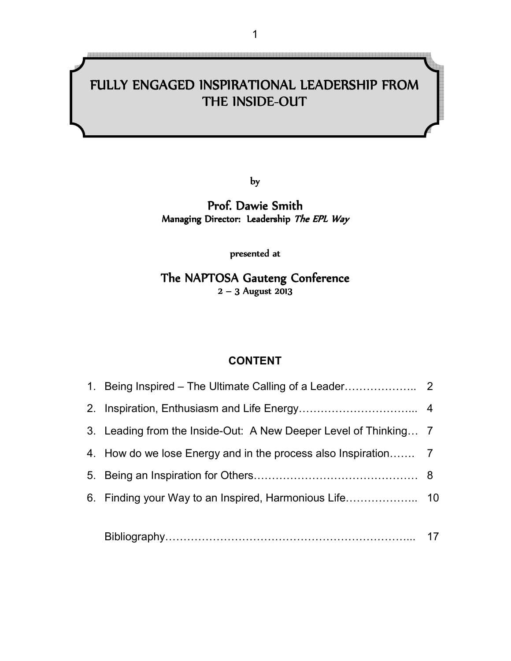#### .<br>11 ľ THE INSIDE-OUT FULLY ENGAGED INSPIRATIONAL LEADERSHIP FROM

l

by

### Prof. Dawie Smith Managing Director: Leadership The EPL Way

presented at

The NAPTOSA Gauteng Conference  $2 - 3$  August 2013

#### **CONTENT**

| 3. Leading from the Inside-Out: A New Deeper Level of Thinking 7 |  |
|------------------------------------------------------------------|--|
|                                                                  |  |
|                                                                  |  |
|                                                                  |  |
|                                                                  |  |
|                                                                  |  |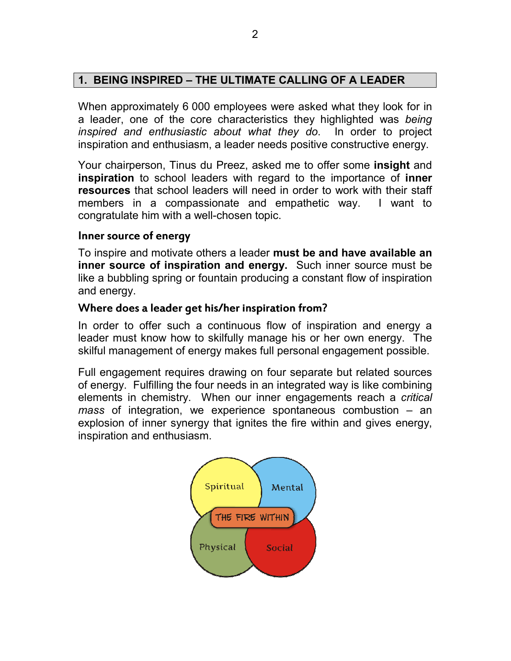# **1. BEING INSPIRED – THE ULTIMATE CALLING OF A LEADER**

When approximately 6 000 employees were asked what they look for in a leader, one of the core characteristics they highlighted was *being inspired and enthusiastic about what they do*. In order to project inspiration and enthusiasm, a leader needs positive constructive energy.

Your chairperson, Tinus du Preez, asked me to offer some **insight** and **inspiration** to school leaders with regard to the importance of **inner resources** that school leaders will need in order to work with their staff members in a compassionate and empathetic way. I want to congratulate him with a well-chosen topic.

#### Inner source of energy

To inspire and motivate others a leader **must be and have available an inner source of inspiration and energy.** Such inner source must be like a bubbling spring or fountain producing a constant flow of inspiration and energy.

#### Where does a leader get his/her inspiration from?

In order to offer such a continuous flow of inspiration and energy a leader must know how to skilfully manage his or her own energy. The skilful management of energy makes full personal engagement possible.

Full engagement requires drawing on four separate but related sources of energy. Fulfilling the four needs in an integrated way is like combining elements in chemistry. When our inner engagements reach a *critical mass* of integration, we experience spontaneous combustion – an explosion of inner synergy that ignites the fire within and gives energy, inspiration and enthusiasm.

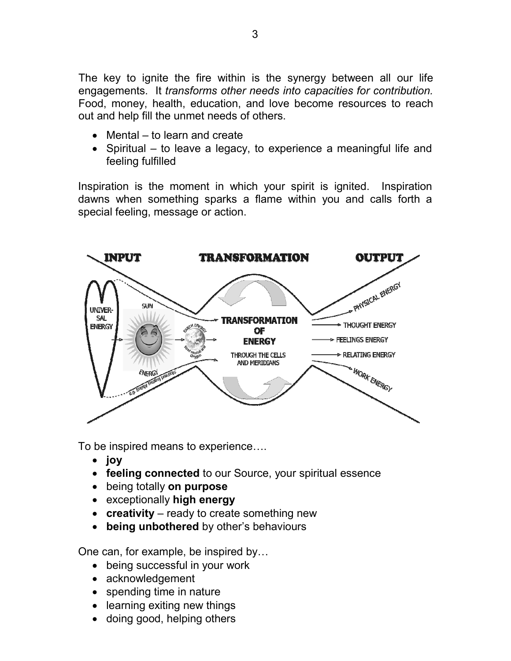Food, money, health, education, and love become resources to reach out and help fill the unmet needs of others. The key to ignite the fire within is the synergy between all our life engagements. It *transforms other needs into capacities for contribution.*

- Mental to learn and create
- Spiritual to leave a legacy, to experience a meaningful life and feeling fulfilled

Inspiration is the moment in which your spirit is ignited. Inspiration dawns when something sparks a flame within you and calls forth a special feeling, message or action.



To be inspired means to experience.

- **joy**
- **feeling connected** to our Source, your spiritual essence
- being totally **on purpose**
- exceptionally **high energy**
- **creativity** ready to create something new
- **being unbothered** by other's behaviours

One can, for example, be inspired by

- being successful in your work
- acknowledgement
- spending time in nature
- learning exiting new things
- doing good, helping others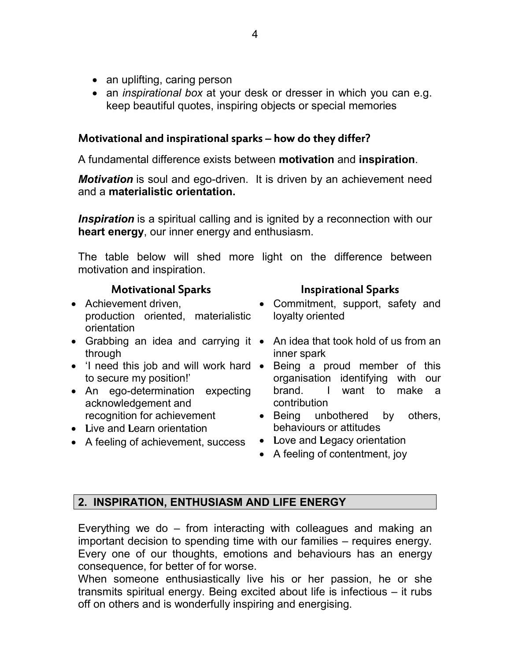- an uplifting, caring person
- an *inspirational box* at your desk or dresser in which you can e.g. keep beautiful quotes, inspiring objects or special memories

#### Motivational and inspirational sparks – how do they differ?

A fundamental difference exists between **motivation** and **inspiration**.

*Motivation* is soul and ego-driven. It is driven by an achievement need and a **materialistic orientation.** 

*Inspiration* is a spiritual calling and is ignited by a reconnection with our **heart energy**, our inner energy and enthusiasm.

The table below will shed more light on the difference between motivation and inspiration.

# Motivational Sparks Inspirational Sparks Inspirational Sparks

- Achievement driven, production oriented, materialistic orientation
- through
- to secure my position!'
- An ego-determination expecting acknowledgement and recognition for achievement
- Live and Learn orientation
- A feeling of achievement, success

- Commitment, support, safety and loyalty oriented
- Grabbing an idea and carrying it An idea that took hold of us from an inner spark
- 'I need this job and will work hard Being a proud member of this organisation identifying with our brand. I want to make a contribution
	- Being unbothered by others, behaviours or attitudes
	- Love and Legacy orientation
	- A feeling of contentment, joy

# **2. INSPIRATION, ENTHUSIASM AND LIFE ENERGY**

Everything we do – from interacting with colleagues and making an important decision to spending time with our families – requires energy. Every one of our thoughts, emotions and behaviours has an energy consequence, for better of for worse.

When someone enthusiastically live his or her passion, he or she transmits spiritual energy. Being excited about life is infectious – it rubs off on others and is wonderfully inspiring and energising.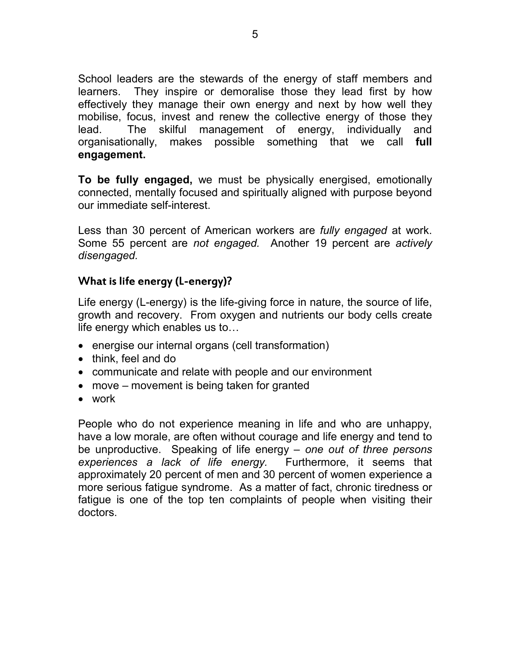School leaders are the stewards of the energy of staff members and learners. They inspire or demoralise those they lead first by how effectively they manage their own energy and next by how well they mobilise, focus, invest and renew the collective energy of those they lead. The skilful management of energy, individually and organisationally, makes possible something that we call **full engagement.**

**To be fully engaged,** we must be physically energised, emotionally connected, mentally focused and spiritually aligned with purpose beyond our immediate self-interest.

Less than 30 percent of American workers are *fully engaged* at work. Some 55 percent are *not engaged.* Another 19 percent are *actively disengaged.*

# What is life energy (L-energy)?

Life energy (L-energy) is the life-giving force in nature, the source of life, growth and recovery. From oxygen and nutrients our body cells create life energy which enables us to

- energise our internal organs (cell transformation)
- think, feel and do
- communicate and relate with people and our environment
- move movement is being taken for granted
- work

People who do not experience meaning in life and who are unhappy, have a low morale, are often without courage and life energy and tend to be unproductive. Speaking of life energy – *one out of three persons experiences a lack of life energy.* Furthermore, it seems that approximately 20 percent of men and 30 percent of women experience a more serious fatigue syndrome. As a matter of fact, chronic tiredness or fatigue is one of the top ten complaints of people when visiting their doctors.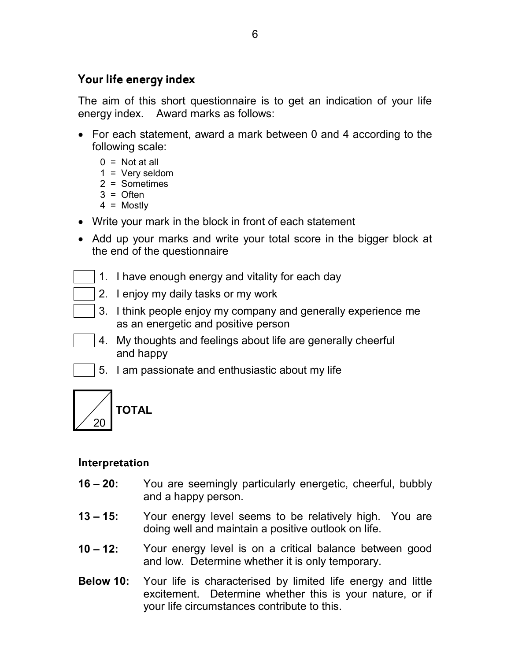# Your life energy index

The aim of this short questionnaire is to get an indication of your life energy index. Award marks as follows:

- For each statement, award a mark between 0 and 4 according to the following scale:
	- $0 = Not at all$
	- $1 = \text{Very seldom}$
	- 2 = Sometimes
	- $3 =$  Often 4 = Mostly
- Write your mark in the block in front of each statement
- Add up your marks and write your total score in the bigger block at the end of the questionnaire
	- 1. I have enough energy and vitality for each day
		- 2. I enjoy my daily tasks or my work
	- 3. I think people enjoy my company and generally experience me as an energetic and positive person
- 4. My thoughts and feelings about life are generally cheerful and happy
	- 5. I am passionate and enthusiastic about my life



# Interpretation

- **16 20:**  You are seemingly particularly energetic, cheerful, bubbly and a happy person.
- **13 15:**  Your energy level seems to be relatively high. You are doing well and maintain a positive outlook on life.
- **10 12:**  Your energy level is on a critical balance between good and low. Determine whether it is only temporary.
- **Below 10:**  Your life is characterised by limited life energy and little excitement. Determine whether this is your nature, or if your life circumstances contribute to this.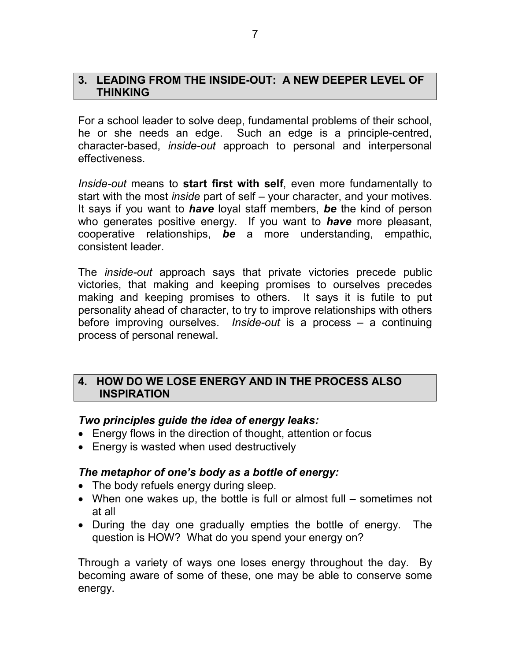#### **3. LEADING FROM THE INSIDE-OUT: A NEW DEEPER LEVEL OF THINKING**

For a school leader to solve deep, fundamental problems of their school, he or she needs an edge. Such an edge is a principle-centred, character-based, *inside-out* approach to personal and interpersonal effectiveness.

*Inside-out* means to **start first with self**, even more fundamentally to start with the most *inside* part of self – your character, and your motives. It says if you want to *have* loyal staff members, *be* the kind of person who generates positive energy. If you want to *have* more pleasant, cooperative relationships, *be* a more understanding, empathic, consistent leader.

The *inside-out* approach says that private victories precede public victories, that making and keeping promises to ourselves precedes making and keeping promises to others. It says it is futile to put personality ahead of character, to try to improve relationships with others before improving ourselves. *Inside-out* is a process – a continuing process of personal renewal.

#### **4. HOW DO WE LOSE ENERGY AND IN THE PROCESS ALSO INSPIRATION**

#### *Two principles guide the idea of energy leaks:*

- Energy flows in the direction of thought, attention or focus
- Energy is wasted when used destructively

#### *The metaphor of one's body as a bottle of energy:*

- The body refuels energy during sleep.
- When one wakes up, the bottle is full or almost full sometimes not at all
- During the day one gradually empties the bottle of energy. The question is HOW? What do you spend your energy on?

Through a variety of ways one loses energy throughout the day. By becoming aware of some of these, one may be able to conserve some energy.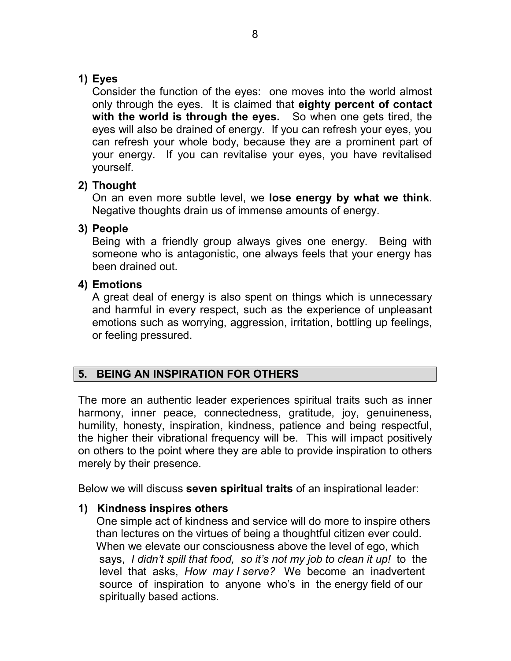# **1) Eyes**

Consider the function of the eyes: one moves into the world almost only through the eyes. It is claimed that **eighty percent of contact with the world is through the eyes.** So when one gets tired, the eyes will also be drained of energy. If you can refresh your eyes, you can refresh your whole body, because they are a prominent part of your energy. If you can revitalise your eyes, you have revitalised yourself.

# **2) Thought**

On an even more subtle level, we **lose energy by what we think**. Negative thoughts drain us of immense amounts of energy.

# **3) People**

Being with a friendly group always gives one energy. Being with someone who is antagonistic, one always feels that your energy has been drained out.

# **4) Emotions**

A great deal of energy is also spent on things which is unnecessary and harmful in every respect, such as the experience of unpleasant emotions such as worrying, aggression, irritation, bottling up feelings, or feeling pressured.

# **5. BEING AN INSPIRATION FOR OTHERS**

The more an authentic leader experiences spiritual traits such as inner harmony, inner peace, connectedness, gratitude, joy, genuineness, humility, honesty, inspiration, kindness, patience and being respectful, the higher their vibrational frequency will be. This will impact positively on others to the point where they are able to provide inspiration to others merely by their presence.

Below we will discuss **seven spiritual traits** of an inspirational leader:

# **1) Kindness inspires others**

 One simple act of kindness and service will do more to inspire others than lectures on the virtues of being a thoughtful citizen ever could. When we elevate our consciousness above the level of ego, which says, *I didn't spill that food, so it's not my job to clean it up!* to the level that asks, *How may I serve?* We become an inadvertent source of inspiration to anyone who's in the energy field of our spiritually based actions.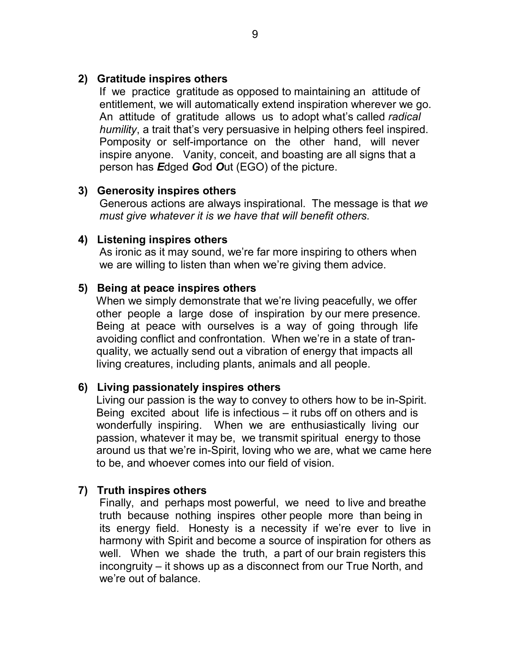#### **2) Gratitude inspires others**

 If we practice gratitude as opposed to maintaining an attitude of entitlement, we will automatically extend inspiration wherever we go. An attitude of gratitude allows us to adopt what's called *radical humility*, a trait that's very persuasive in helping others feel inspired. Pomposity or self-importance on the other hand, will never inspire anyone. Vanity, conceit, and boasting are all signs that a person has *E*dged *G*od *O*ut (EGO) of the picture.

#### **3) Generosity inspires others**

 Generous actions are always inspirational. The message is that *we must give whatever it is we have that will benefit others.*

#### **4) Listening inspires others**

 As ironic as it may sound, we're far more inspiring to others when we are willing to listen than when we're giving them advice.

#### **5) Being at peace inspires others**

 When we simply demonstrate that we're living peacefully, we offer other people a large dose of inspiration by our mere presence. Being at peace with ourselves is a way of going through life avoiding conflict and confrontation. When we're in a state of tran quality, we actually send out a vibration of energy that impacts all living creatures, including plants, animals and all people.

#### **6) Living passionately inspires others**

 Living our passion is the way to convey to others how to be in-Spirit. Being excited about life is infectious – it rubs off on others and is wonderfully inspiring. When we are enthusiastically living our passion, whatever it may be, we transmit spiritual energy to those around us that we're in-Spirit, loving who we are, what we came here to be, and whoever comes into our field of vision.

#### **7) Truth inspires others**

 Finally, and perhaps most powerful, we need to live and breathe truth because nothing inspires other people more than being in its energy field. Honesty is a necessity if we're ever to live in harmony with Spirit and become a source of inspiration for others as well. When we shade the truth, a part of our brain registers this incongruity – it shows up as a disconnect from our True North, and we're out of balance.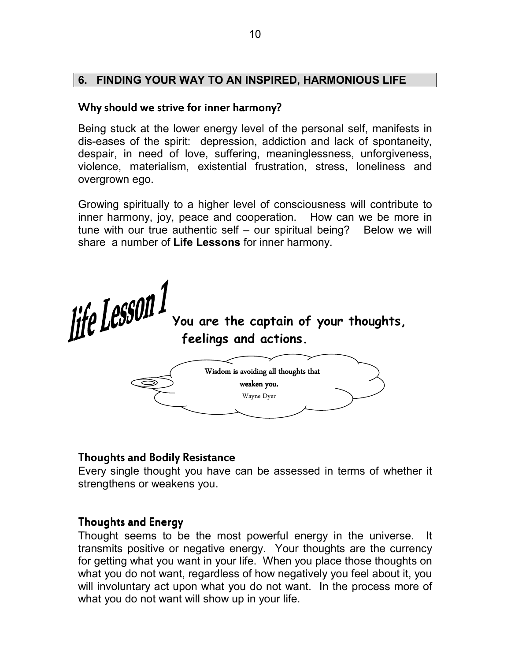### **6. FINDING YOUR WAY TO AN INSPIRED, HARMONIOUS LIFE**

#### Why should we strive for inner harmony?

Being stuck at the lower energy level of the personal self, manifests in dis-eases of the spirit: depression, addiction and lack of spontaneity, despair, in need of love, suffering, meaninglessness, unforgiveness, violence, materialism, existential frustration, stress, loneliness and overgrown ego.

Growing spiritually to a higher level of consciousness will contribute to inner harmony, joy, peace and cooperation. How can we be more in tune with our true authentic self  $-$  our spiritual being? Below we will share a number of **Life Lessons** for inner harmony.

*If CLESSUIL Vou are the captain of your thoughts,*  **feelings and actions.** 



# Thoughts and Bodily Resistance

Every single thought you have can be assessed in terms of whether it strengthens or weakens you.

#### Thoughts and Energy

Thought seems to be the most powerful energy in the universe. It transmits positive or negative energy. Your thoughts are the currency for getting what you want in your life. When you place those thoughts on what you do not want, regardless of how negatively you feel about it, you will involuntary act upon what you do not want. In the process more of what you do not want will show up in your life.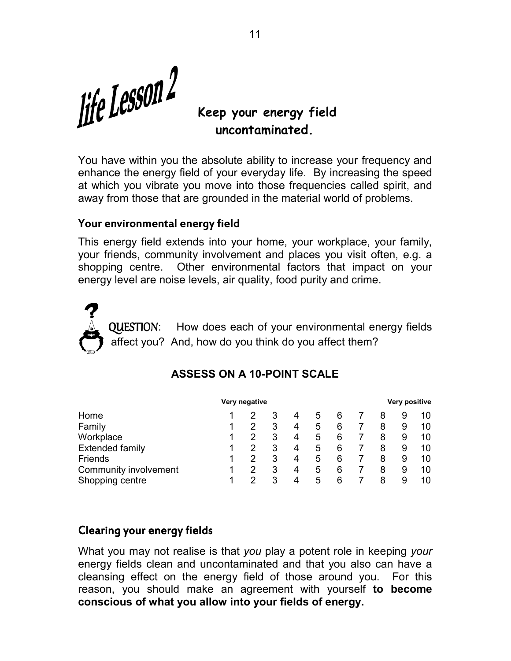*life Lesson2* 

# **Keep your energy field uncontaminated.**

You have within you the absolute ability to increase your frequency and enhance the energy field of your everyday life. By increasing the speed at which you vibrate you move into those frequencies called spirit, and away from those that are grounded in the material world of problems.

#### Your environmental energy field

This energy field extends into your home, your workplace, your family, your friends, community involvement and places you visit often, e.g. a shopping centre. Other environmental factors that impact on your energy level are noise levels, air quality, food purity and crime.

QUESTION: How does each of your environmental energy fields affect you? And, how do you think do you affect them?

|                        | Very negative |  |   |   |   |   | Very positive |   |    |  |
|------------------------|---------------|--|---|---|---|---|---------------|---|----|--|
| Home                   |               |  | 3 | 4 | 5 | 6 | 8             |   | 10 |  |
| Family                 |               |  | 3 | 4 | 5 | 6 | 8             | 9 | 10 |  |
| Workplace              |               |  | 3 | 4 | 5 | 6 | 8             | 9 | 10 |  |
| <b>Extended family</b> |               |  | 3 | 4 | 5 | 6 | 8             | 9 | 10 |  |
| Friends                |               |  | 3 | 4 | 5 | 6 | 8             | 9 | 10 |  |
| Community involvement  |               |  | 3 | 4 | 5 | 6 | 8             | 9 | 10 |  |
| Shopping centre        |               |  | 3 | 4 | 5 | 6 | 8             |   | 10 |  |

# **ASSESS ON A 10-POINT SCALE**

#### Clearing your energy fields

What you may not realise is that *you* play a potent role in keeping *your* energy fields clean and uncontaminated and that you also can have a cleansing effect on the energy field of those around you. For this reason, you should make an agreement with yourself **to become conscious of what you allow into your fields of energy.**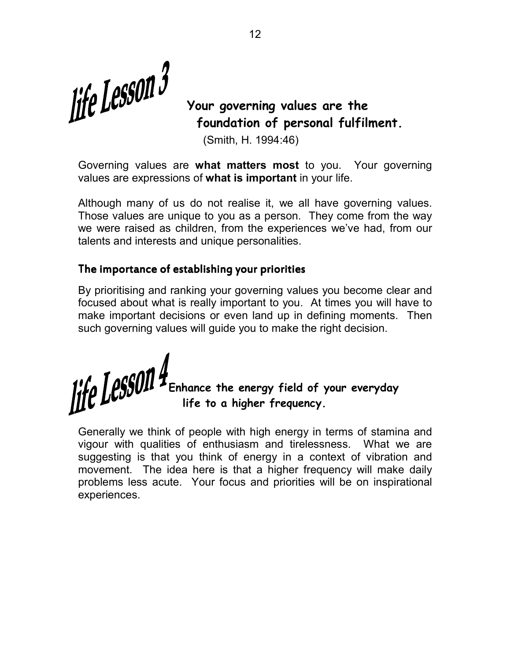*If CLCSSUII* Vour governing values are the

# **foundation of personal fulfilment.**

(Smith, H. 1994:46)

Governing values are **what matters most** to you. Your governing values are expressions of **what is important** in your life.

Although many of us do not realise it, we all have governing values. Those values are unique to you as a person. They come from the way we were raised as children, from the experiences we've had, from our talents and interests and unique personalities.

#### The importance of establishing your priorities

By prioritising and ranking your governing values you become clear and focused about what is really important to you. At times you will have to make important decisions or even land up in defining moments. Then such governing values will guide you to make the right decision.

**Enhance the energy field of your everyday life to a higher frequency.** 

Generally we think of people with high energy in terms of stamina and vigour with qualities of enthusiasm and tirelessness. What we are suggesting is that you think of energy in a context of vibration and movement. The idea here is that a higher frequency will make daily problems less acute. Your focus and priorities will be on inspirational experiences.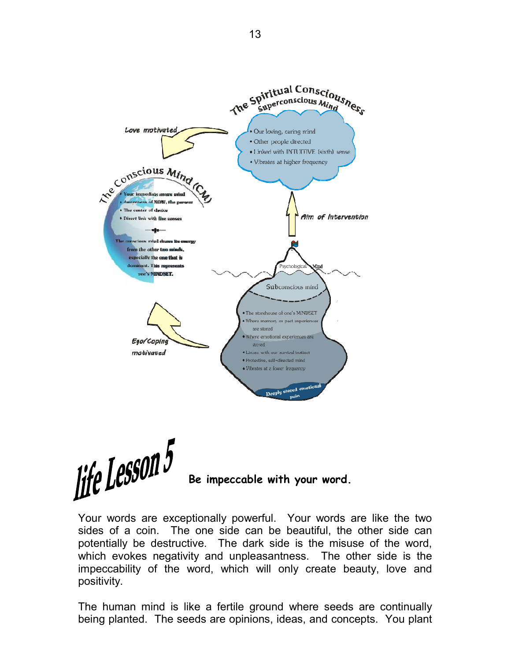

$$
\text{The } \text{Lessom} \mathfrak{H} \longrightarrow_{\text{Be } \text{impeccable with your word.}}
$$

Your words are exceptionally powerful. Your words are like the two sides of a coin. The one side can be beautiful, the other side can potentially be destructive. The dark side is the misuse of the word, which evokes negativity and unpleasantness. The other side is the impeccability of the word, which will only create beauty, love and positivity.

The human mind is like a fertile ground where seeds are continually being planted. The seeds are opinions, ideas, and concepts. You plant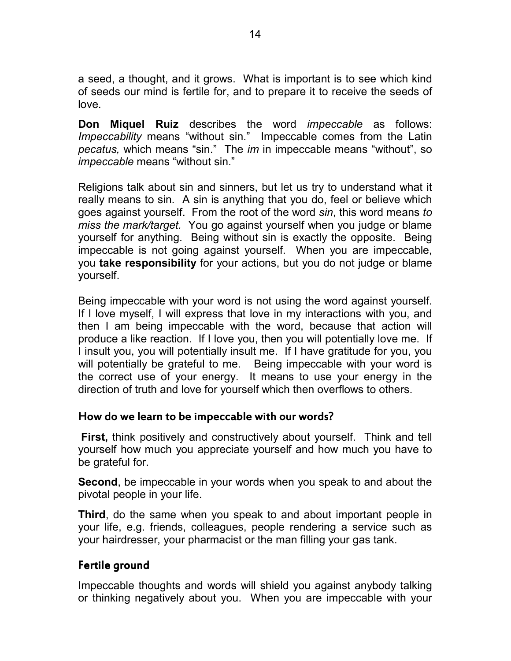a seed, a thought, and it grows. What is important is to see which kind of seeds our mind is fertile for, and to prepare it to receive the seeds of love.

**Don Miquel Ruiz** describes the word *impeccable* as follows: *Impeccability* means "without sin." Impeccable comes from the Latin *pecatus,* which means "sin." The *im* in impeccable means "without", so *impeccable* means "without sin."

Religions talk about sin and sinners, but let us try to understand what it really means to sin. A sin is anything that you do, feel or believe which goes against yourself. From the root of the word *sin*, this word means *to miss the mark/target.* You go against yourself when you judge or blame yourself for anything. Being without sin is exactly the opposite. Being impeccable is not going against yourself. When you are impeccable, you **take responsibility** for your actions, but you do not judge or blame yourself.

Being impeccable with your word is not using the word against yourself. If I love myself, I will express that love in my interactions with you, and then I am being impeccable with the word, because that action will produce a like reaction. If I love you, then you will potentially love me. If I insult you, you will potentially insult me. If I have gratitude for you, you will potentially be grateful to me. Being impeccable with your word is the correct use of your energy. It means to use your energy in the direction of truth and love for yourself which then overflows to others.

#### How do we learn to be impeccable with our words?

**First,** think positively and constructively about yourself. Think and tell yourself how much you appreciate yourself and how much you have to be grateful for.

**Second**, be impeccable in your words when you speak to and about the pivotal people in your life.

**Third**, do the same when you speak to and about important people in your life, e.g. friends, colleagues, people rendering a service such as your hairdresser, your pharmacist or the man filling your gas tank.

#### Fertile ground

Impeccable thoughts and words will shield you against anybody talking or thinking negatively about you. When you are impeccable with your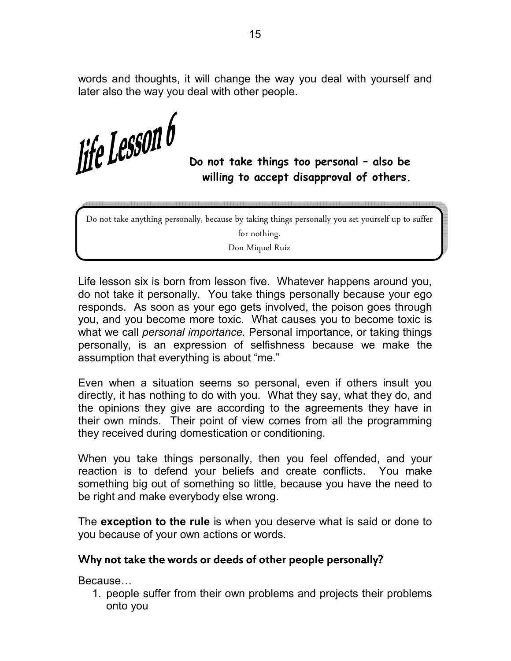words and thoughts, it will change the way you deal with yourself and later also the way you deal with other people.

*<u>Afe</u>* **Lessuil U** Do not take things too personal – also be

 **willing to accept disapproval of others.** 

Do not take anything personally, because by taking things personally you set yourself up to suffer

for nothing.

Don Miquel Ruiz

Life lesson six is born from lesson five. Whatever happens around you, do not take it personally. You take things personally because your ego responds. As soon as your ego gets involved, the poison goes through you, and you become more toxic. What causes you to become toxic is what we call *personal importance.* Personal importance, or taking things personally, is an expression of selfishness because we make the assumption that everything is about "me."

Even when a situation seems so personal, even if others insult you directly, it has nothing to do with you. What they say, what they do, and the opinions they give are according to the agreements they have in their own minds. Their point of view comes from all the programming they received during domestication or conditioning.

When you take things personally, then you feel offended, and your reaction is to defend your beliefs and create conflicts. You make something big out of something so little, because you have the need to be right and make everybody else wrong.

The **exception to the rule** is when you deserve what is said or done to you because of your own actions or words.

#### Why not take the words or deeds of other people personally?

Because...

1. people suffer from their own problems and projects their problems onto you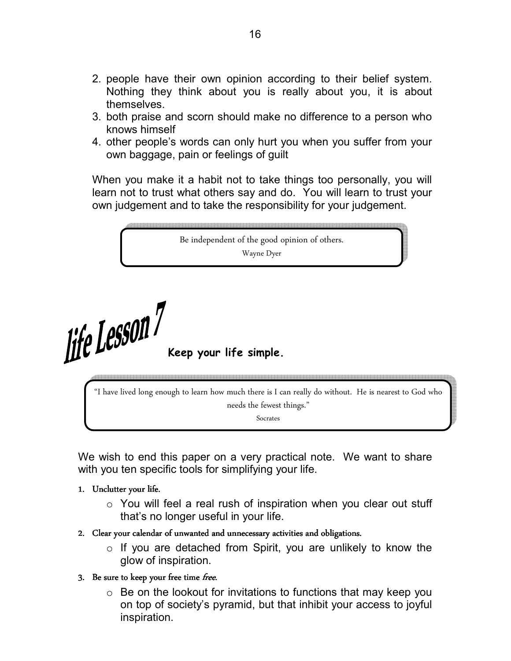- 2. people have their own opinion according to their belief system. Nothing they think about you is really about you, it is about themselves.
- 3. both praise and scorn should make no difference to a person who knows himself
- 4. other people's words can only hurt you when you suffer from your own baggage, pain or feelings of guilt

When you make it a habit not to take things too personally, you will learn not to trust what others say and do. You will learn to trust your own judgement and to take the responsibility for your judgement.

Be independent of the good opinion of others. Wayne Dyer

*<u><i>Ke LessON Keep your life simple.*</u>

"I have lived long enough to learn how much there is I can really do without. He is nearest to God who needs the fewest things." Socrates

We wish to end this paper on a very practical note. We want to share with you ten specific tools for simplifying your life.

- 1. Unclutter your life.
	- $\circ$  You will feel a real rush of inspiration when you clear out stuff that's no longer useful in your life.
- 2. Clear your calendar of unwanted and unnecessary activities and obligations.
	- $\circ$  If you are detached from Spirit, you are unlikely to know the glow of inspiration.
- 3. Be sure to keep your free time free.
	- $\circ$  Be on the lookout for invitations to functions that may keep you on top of society's pyramid, but that inhibit your access to joyful inspiration.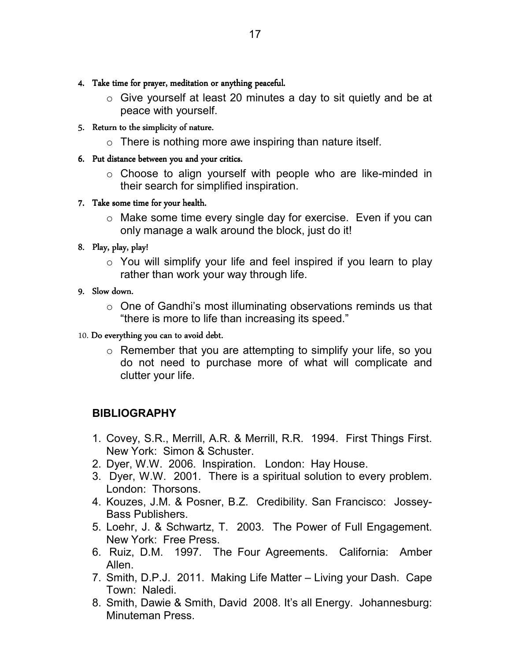- 4. Take time for prayer, meditation or anything peaceful.
	- o Give yourself at least 20 minutes a day to sit quietly and be at peace with yourself.
- 5. Return to the simplicity of nature.
	- $\circ$  There is nothing more awe inspiring than nature itself.
- 6. Put distance between you and your critics.
	- o Choose to align yourself with people who are like-minded in their search for simplified inspiration.
- 7. Take some time for your health.
	- o Make some time every single day for exercise. Even if you can only manage a walk around the block, just do it!
- 8. Play, play, play!
	- $\circ$  You will simplify your life and feel inspired if you learn to play rather than work your way through life.

#### 9. Slow down.

o One of Gandhi's most illuminating observations reminds us that "there is more to life than increasing its speed."

#### 10. Do everything you can to avoid debt.

o Remember that you are attempting to simplify your life, so you do not need to purchase more of what will complicate and clutter your life.

#### **BIBLIOGRAPHY**

- 1. Covey, S.R., Merrill, A.R. & Merrill, R.R. 1994. First Things First. New York: Simon & Schuster.
- 2. Dyer, W.W. 2006. Inspiration. London: Hay House.
- 3. Dyer, W.W. 2001. There is a spiritual solution to every problem. London: Thorsons.
- 4. Kouzes, J.M. & Posner, B.Z. Credibility. San Francisco: Jossey-Bass Publishers.
- 5. Loehr, J. & Schwartz, T. 2003. The Power of Full Engagement. New York: Free Press.
- 6. Ruiz, D.M. 1997. The Four Agreements. California: Amber Allen.
- 7. Smith, D.P.J. 2011. Making Life Matter Living your Dash. Cape Town: Naledi.
- 8. Smith, Dawie & Smith, David 2008. It's all Energy. Johannesburg: Minuteman Press.